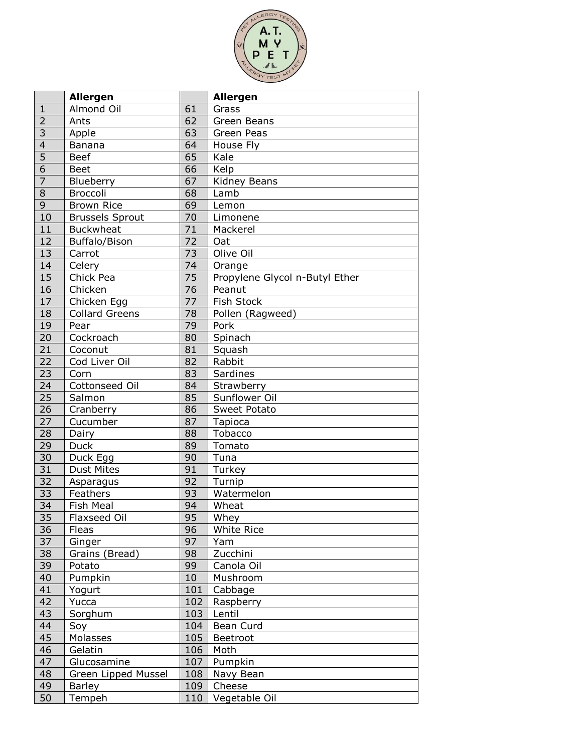

|                         | <b>Allergen</b>        |                 | <b>Allergen</b>                |
|-------------------------|------------------------|-----------------|--------------------------------|
| $\mathbf{1}$            | Almond Oil             | 61              | Grass                          |
| $\overline{2}$          | Ants                   | 62              | Green Beans                    |
| 3                       | Apple                  | 63              | Green Peas                     |
| $\overline{\mathbf{4}}$ | Banana                 | 64              | House Fly                      |
| $\overline{5}$          | <b>Beef</b>            | 65              | Kale                           |
| $\overline{6}$          | <b>Beet</b>            | 66              | Kelp                           |
| $\overline{7}$          | Blueberry              | 67              | Kidney Beans                   |
| 8                       | <b>Broccoli</b>        | 68              | Lamb                           |
| 9                       | <b>Brown Rice</b>      | 69              | Lemon                          |
| 10                      | <b>Brussels Sprout</b> | 70              | Limonene                       |
| 11                      | <b>Buckwheat</b>       | 71              | Mackerel                       |
| 12                      | Buffalo/Bison          | 72              | Oat                            |
| 13                      | Carrot                 | 73              | Olive Oil                      |
| 14                      | Celery                 | $\overline{74}$ | Orange                         |
| 15                      | Chick Pea              | 75              | Propylene Glycol n-Butyl Ether |
| 16                      | Chicken                | 76              | Peanut                         |
| 17                      | Chicken Egg            | 77              | Fish Stock                     |
| 18                      | <b>Collard Greens</b>  | 78              | Pollen (Ragweed)               |
| 19                      | Pear                   | 79              | Pork                           |
| 20                      | Cockroach              | 80              | Spinach                        |
| $\overline{21}$         | Coconut                | 81              | Squash                         |
| 22                      | Cod Liver Oil          | 82              | Rabbit                         |
| 23                      | Corn                   | 83              | Sardines                       |
| 24                      | Cottonseed Oil         | 84              | Strawberry                     |
| 25                      | Salmon                 | 85              | Sunflower Oil                  |
| 26                      | Cranberry              | 86              | Sweet Potato                   |
| 27                      | Cucumber               | 87              | Tapioca                        |
| 28                      | Dairy                  | 88              | Tobacco                        |
| 29                      | <b>Duck</b>            | 89              | Tomato                         |
| 30                      | Duck Egg               | 90              | Tuna                           |
| 31                      | <b>Dust Mites</b>      | 91              | Turkey                         |
| 32                      | Asparagus              | 92              | Turnip                         |
| 33                      | Feathers               | 93              | Watermelon                     |
| 34                      | Fish Meal              | 94              | Wheat                          |
| 35                      | Flaxseed Oil           | 95              | Whey                           |
| 36                      | Fleas                  | 96              | White Rice                     |
| 37                      | Ginger                 | 97              | Yam                            |
| 38                      | Grains (Bread)         | 98              | Zucchini                       |
| 39                      | Potato                 | 99              | Canola Oil                     |
| 40                      | Pumpkin                | 10              | Mushroom                       |
| 41                      | Yogurt                 | 101             | Cabbage                        |
| 42                      | Yucca                  | 102             | Raspberry                      |
| 43                      | Sorghum                | 103             | Lentil                         |
| 44                      | Soy                    | 104             | Bean Curd                      |
| 45                      | Molasses               | 105             | Beetroot                       |
| 46                      | Gelatin                | 106             | Moth                           |
| 47                      | Glucosamine            | 107             | Pumpkin                        |
| 48                      | Green Lipped Mussel    | 108             | Navy Bean                      |
| 49                      | Barley                 | 109             | Cheese                         |
| 50                      | Tempeh                 | 110             | Vegetable Oil                  |